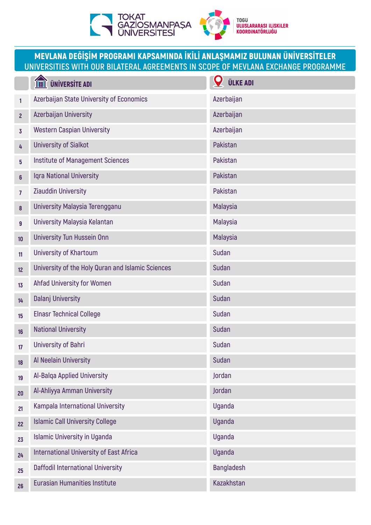

## MEVLANA DEĞİŞİM PROGRAMI KAPSAMINDA İKİLİ ANLAŞMAMIZ BULUNAN ÜNİVERSİTELER **UNIVERSITIES WITH OUR BILATERAL AGREEMENTS IN SCOPE OF MEVLANA EXCHANGE PROGRAMME**

|                | <b>ÜNİVERSİTE ADI</b>                             | <b>ÜLKE ADI</b>   |
|----------------|---------------------------------------------------|-------------------|
| $\mathbf{1}$   | Azerbaijan State University of Economics          | Azerbaijan        |
| $\overline{2}$ | Azerbaijan University                             | Azerbaijan        |
| $\overline{3}$ | <b>Western Caspian University</b>                 | Azerbaijan        |
| 4              | <b>University of Sialkot</b>                      | Pakistan          |
| 5              | <b>Institute of Management Sciences</b>           | Pakistan          |
| $6\phantom{a}$ | Iqra National University                          | Pakistan          |
| $\overline{7}$ | Ziauddin University                               | Pakistan          |
| $\bf{8}$       | University Malaysia Terengganu                    | Malaysia          |
| 9              | University Malaysia Kelantan                      | Malaysia          |
| 10             | <b>University Tun Hussein Onn</b>                 | Malaysia          |
| 11             | University of Khartoum                            | <b>Sudan</b>      |
| 12             | University of the Holy Quran and Islamic Sciences | <b>Sudan</b>      |
| 13             | Ahfad University for Women                        | <b>Sudan</b>      |
| 14             | <b>Dalanj University</b>                          | <b>Sudan</b>      |
| 15             | <b>Elnasr Technical College</b>                   | <b>Sudan</b>      |
| 16             | <b>National University</b>                        | <b>Sudan</b>      |
| 17             | <b>University of Bahri</b>                        | <b>Sudan</b>      |
| 18             | Al Neelain University                             | Sudan             |
| 19             | Al-Balqa Applied University                       | Jordan            |
| 20             | Al-Ahliyya Amman University                       | Jordan            |
| 21             | Kampala International University                  | <b>Uganda</b>     |
| 22             | <b>Islamic Call University College</b>            | <b>Uganda</b>     |
| 23             | <b>Islamic University in Uganda</b>               | <b>Uganda</b>     |
| 24             | <b>International University of East Africa</b>    | <b>Uganda</b>     |
| 25             | Daffodil International University                 | <b>Bangladesh</b> |
| 26             | <b>Eurasian Humanities Institute</b>              | Kazakhstan        |